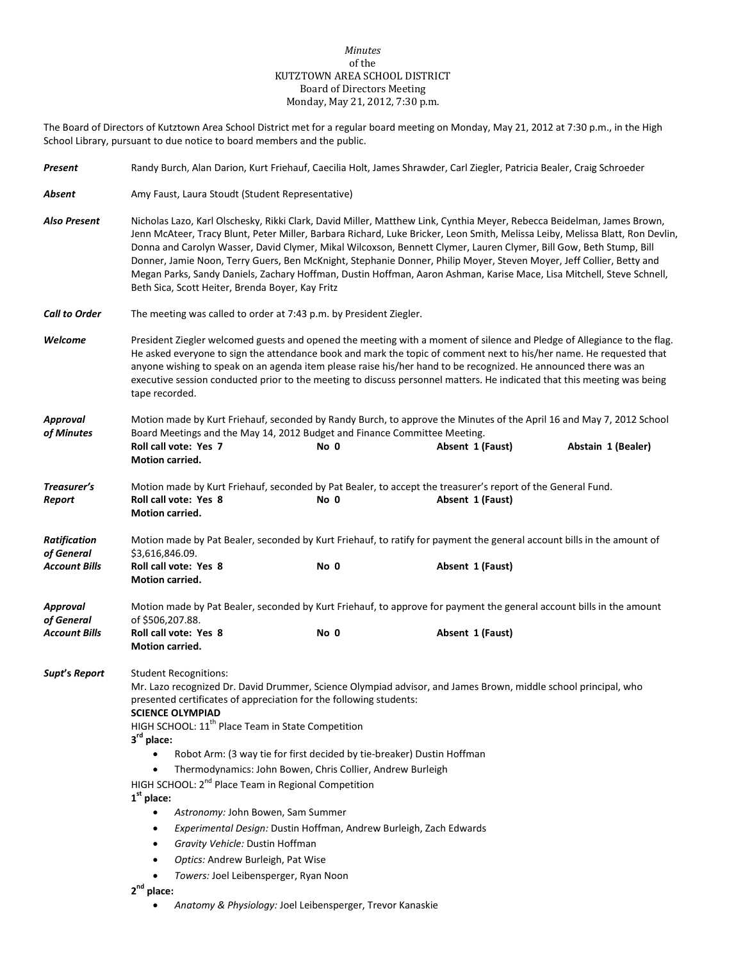#### *Minutes* of the KUTZTOWN AREA SCHOOL DISTRICT Board of Directors Meeting Monday, May 21, 2012, 7:30 p.m.

The Board of Directors of Kutztown Area School District met for a regular board meeting on Monday, May 21, 2012 at 7:30 p.m., in the High School Library, pursuant to due notice to board members and the public.

| Present                           | Randy Burch, Alan Darion, Kurt Friehauf, Caecilia Holt, James Shrawder, Carl Ziegler, Patricia Bealer, Craig Schroeder                                                                                                                                                                                                                                                                                                                                                                                                                                                                                                                                                                                                                                                                                                            |      |                  |                    |  |  |  |
|-----------------------------------|-----------------------------------------------------------------------------------------------------------------------------------------------------------------------------------------------------------------------------------------------------------------------------------------------------------------------------------------------------------------------------------------------------------------------------------------------------------------------------------------------------------------------------------------------------------------------------------------------------------------------------------------------------------------------------------------------------------------------------------------------------------------------------------------------------------------------------------|------|------------------|--------------------|--|--|--|
| Absent                            | Amy Faust, Laura Stoudt (Student Representative)                                                                                                                                                                                                                                                                                                                                                                                                                                                                                                                                                                                                                                                                                                                                                                                  |      |                  |                    |  |  |  |
| Also Present                      | Nicholas Lazo, Karl Olschesky, Rikki Clark, David Miller, Matthew Link, Cynthia Meyer, Rebecca Beidelman, James Brown,<br>Jenn McAteer, Tracy Blunt, Peter Miller, Barbara Richard, Luke Bricker, Leon Smith, Melissa Leiby, Melissa Blatt, Ron Devlin,<br>Donna and Carolyn Wasser, David Clymer, Mikal Wilcoxson, Bennett Clymer, Lauren Clymer, Bill Gow, Beth Stump, Bill<br>Donner, Jamie Noon, Terry Guers, Ben McKnight, Stephanie Donner, Philip Moyer, Steven Moyer, Jeff Collier, Betty and<br>Megan Parks, Sandy Daniels, Zachary Hoffman, Dustin Hoffman, Aaron Ashman, Karise Mace, Lisa Mitchell, Steve Schnell,<br>Beth Sica, Scott Heiter, Brenda Boyer, Kay Fritz                                                                                                                                                |      |                  |                    |  |  |  |
| <b>Call to Order</b>              | The meeting was called to order at 7:43 p.m. by President Ziegler.                                                                                                                                                                                                                                                                                                                                                                                                                                                                                                                                                                                                                                                                                                                                                                |      |                  |                    |  |  |  |
| Welcome                           | President Ziegler welcomed guests and opened the meeting with a moment of silence and Pledge of Allegiance to the flag.<br>He asked everyone to sign the attendance book and mark the topic of comment next to his/her name. He requested that<br>anyone wishing to speak on an agenda item please raise his/her hand to be recognized. He announced there was an<br>executive session conducted prior to the meeting to discuss personnel matters. He indicated that this meeting was being<br>tape recorded.                                                                                                                                                                                                                                                                                                                    |      |                  |                    |  |  |  |
| Approval                          | Motion made by Kurt Friehauf, seconded by Randy Burch, to approve the Minutes of the April 16 and May 7, 2012 School                                                                                                                                                                                                                                                                                                                                                                                                                                                                                                                                                                                                                                                                                                              |      |                  |                    |  |  |  |
| of Minutes                        | Board Meetings and the May 14, 2012 Budget and Finance Committee Meeting.<br>Roll call vote: Yes 7<br>Motion carried.                                                                                                                                                                                                                                                                                                                                                                                                                                                                                                                                                                                                                                                                                                             | No 0 | Absent 1 (Faust) | Abstain 1 (Bealer) |  |  |  |
| Treasurer's<br>Report             | Motion made by Kurt Friehauf, seconded by Pat Bealer, to accept the treasurer's report of the General Fund.<br>Roll call vote: Yes 8<br>Absent 1 (Faust)<br>No 0<br>Motion carried.                                                                                                                                                                                                                                                                                                                                                                                                                                                                                                                                                                                                                                               |      |                  |                    |  |  |  |
| <b>Ratification</b><br>of General | Motion made by Pat Bealer, seconded by Kurt Friehauf, to ratify for payment the general account bills in the amount of<br>\$3,616,846.09.                                                                                                                                                                                                                                                                                                                                                                                                                                                                                                                                                                                                                                                                                         |      |                  |                    |  |  |  |
| <b>Account Bills</b>              | Roll call vote: Yes 8<br>Motion carried.                                                                                                                                                                                                                                                                                                                                                                                                                                                                                                                                                                                                                                                                                                                                                                                          | No 0 | Absent 1 (Faust) |                    |  |  |  |
| Approval<br>of General            | Motion made by Pat Bealer, seconded by Kurt Friehauf, to approve for payment the general account bills in the amount<br>of \$506,207.88.                                                                                                                                                                                                                                                                                                                                                                                                                                                                                                                                                                                                                                                                                          |      |                  |                    |  |  |  |
| <b>Account Bills</b>              | Roll call vote: Yes 8<br>Motion carried.                                                                                                                                                                                                                                                                                                                                                                                                                                                                                                                                                                                                                                                                                                                                                                                          | No 0 | Absent 1 (Faust) |                    |  |  |  |
| Supt's Report                     | <b>Student Recognitions:</b><br>Mr. Lazo recognized Dr. David Drummer, Science Olympiad advisor, and James Brown, middle school principal, who<br>presented certificates of appreciation for the following students:<br><b>SCIENCE OLYMPIAD</b><br>HIGH SCHOOL: 11 <sup>th</sup> Place Team in State Competition<br>3rd place:<br>Robot Arm: (3 way tie for first decided by tie-breaker) Dustin Hoffman<br>Thermodynamics: John Bowen, Chris Collier, Andrew Burleigh<br>$\bullet$<br>HIGH SCHOOL: 2 <sup>nd</sup> Place Team in Regional Competition<br>$1st$ place:<br>Astronomy: John Bowen, Sam Summer<br>Experimental Design: Dustin Hoffman, Andrew Burleigh, Zach Edwards<br>٠<br>Gravity Vehicle: Dustin Hoffman<br>$\bullet$<br>Optics: Andrew Burleigh, Pat Wise<br>$\bullet$<br>Towers: Joel Leibensperger, Ryan Noon |      |                  |                    |  |  |  |
|                                   | $2nd$ place:                                                                                                                                                                                                                                                                                                                                                                                                                                                                                                                                                                                                                                                                                                                                                                                                                      |      |                  |                    |  |  |  |

• *Anatomy & Physiology:* Joel Leibensperger, Trevor Kanaskie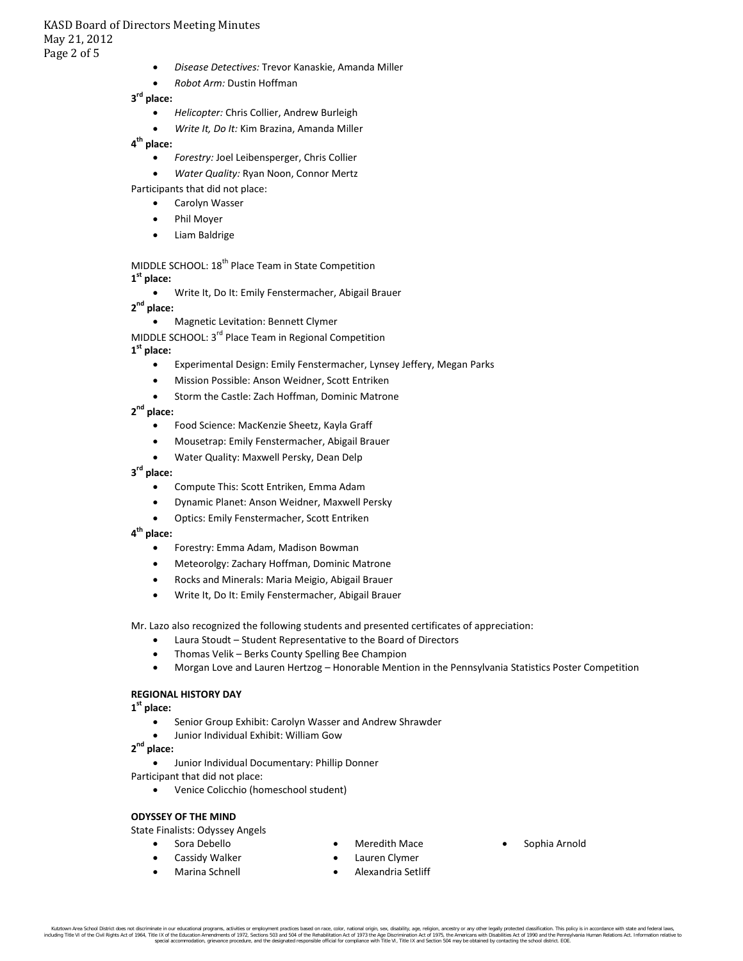# KASD Board of Directors Meeting Minutes May 21, 2012 Page 2 of 5

- *Disease Detectives:* Trevor Kanaskie, Amanda Miller
- *Robot Arm:* Dustin Hoffman

# **3rd place:**

- *Helicopter:* Chris Collier, Andrew Burleigh
- *Write It, Do It:* Kim Brazina, Amanda Miller

### **4 th place:**

- *Forestry:* Joel Leibensperger, Chris Collier
- *Water Quality:* Ryan Noon, Connor Mertz

Participants that did not place:

- Carolyn Wasser
- Phil Moyer
- Liam Baldrige

#### MIDDLE SCHOOL: 18<sup>th</sup> Place Team in State Competition **1st place:**

• Write It, Do It: Emily Fenstermacher, Abigail Brauer

**2nd place:**

• Magnetic Levitation: Bennett Clymer

MIDDLE SCHOOL: 3<sup>rd</sup> Place Team in Regional Competition

# **1 st place:**

- Experimental Design: Emily Fenstermacher, Lynsey Jeffery, Megan Parks
- Mission Possible: Anson Weidner, Scott Entriken
- Storm the Castle: Zach Hoffman, Dominic Matrone

# **2nd place:**

- Food Science: MacKenzie Sheetz, Kayla Graff
- Mousetrap: Emily Fenstermacher, Abigail Brauer
- Water Quality: Maxwell Persky, Dean Delp

### **3 rd place:**

- Compute This: Scott Entriken, Emma Adam
- Dynamic Planet: Anson Weidner, Maxwell Persky
- Optics: Emily Fenstermacher, Scott Entriken

### **4 th place:**

- Forestry: Emma Adam, Madison Bowman
- Meteorolgy: Zachary Hoffman, Dominic Matrone
- Rocks and Minerals: Maria Meigio, Abigail Brauer
- Write It, Do It: Emily Fenstermacher, Abigail Brauer

Mr. Lazo also recognized the following students and presented certificates of appreciation:

- Laura Stoudt Student Representative to the Board of Directors
- Thomas Velik Berks County Spelling Bee Champion
- Morgan Love and Lauren Hertzog Honorable Mention in the Pennsylvania Statistics Poster Competition

### **REGIONAL HISTORY DAY**

**1 st place:**

- Senior Group Exhibit: Carolyn Wasser and Andrew Shrawder
- Junior Individual Exhibit: William Gow

**2nd place:**

• Junior Individual Documentary: Phillip Donner

- Participant that did not place:
	- Venice Colicchio (homeschool student)

### **ODYSSEY OF THE MIND**

State Finalists: Odyssey Angels

- Sora Debello
	- Cassidy Walker
- Meredith Mace
- Sophia Arnold
- Marina Schnell
- Lauren Clymer
- Alexandria Setliff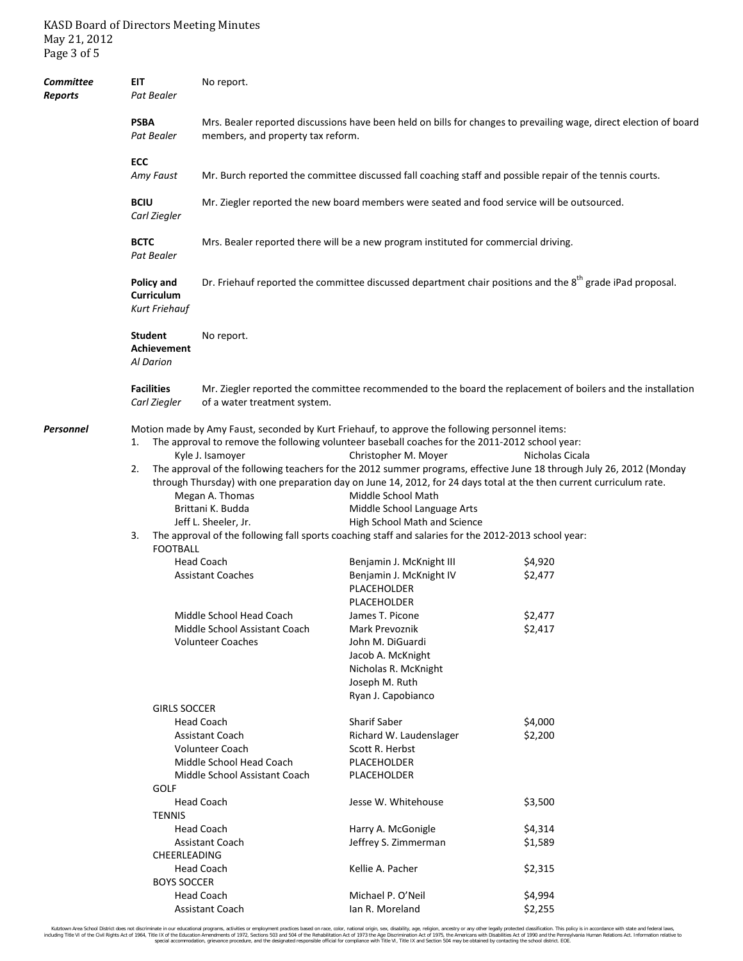# KASD Board of Directors Meeting Minutes May 21, 2012 Page 3 of 5

| Committee<br>Reports | EIT<br>Pat Bealer                          | No report.                                                                                                                                             |                                                                                                                                                                                                                                                                                                                                                                                                                                                                                                                                                                                                                                                                                         |                                                                                                             |  |  |  |
|----------------------|--------------------------------------------|--------------------------------------------------------------------------------------------------------------------------------------------------------|-----------------------------------------------------------------------------------------------------------------------------------------------------------------------------------------------------------------------------------------------------------------------------------------------------------------------------------------------------------------------------------------------------------------------------------------------------------------------------------------------------------------------------------------------------------------------------------------------------------------------------------------------------------------------------------------|-------------------------------------------------------------------------------------------------------------|--|--|--|
|                      | <b>PSBA</b><br>Pat Bealer                  | Mrs. Bealer reported discussions have been held on bills for changes to prevailing wage, direct election of board<br>members, and property tax reform. |                                                                                                                                                                                                                                                                                                                                                                                                                                                                                                                                                                                                                                                                                         |                                                                                                             |  |  |  |
|                      | ECC                                        |                                                                                                                                                        |                                                                                                                                                                                                                                                                                                                                                                                                                                                                                                                                                                                                                                                                                         |                                                                                                             |  |  |  |
|                      | Amy Faust                                  | Mr. Burch reported the committee discussed fall coaching staff and possible repair of the tennis courts.                                               |                                                                                                                                                                                                                                                                                                                                                                                                                                                                                                                                                                                                                                                                                         |                                                                                                             |  |  |  |
|                      | <b>BCIU</b><br>Carl Ziegler                | Mr. Ziegler reported the new board members were seated and food service will be outsourced.                                                            |                                                                                                                                                                                                                                                                                                                                                                                                                                                                                                                                                                                                                                                                                         |                                                                                                             |  |  |  |
|                      | <b>BCTC</b><br>Pat Bealer                  | Mrs. Bealer reported there will be a new program instituted for commercial driving.                                                                    |                                                                                                                                                                                                                                                                                                                                                                                                                                                                                                                                                                                                                                                                                         |                                                                                                             |  |  |  |
|                      | Policy and<br>Curriculum<br>Kurt Friehauf  | Dr. Friehauf reported the committee discussed department chair positions and the $8^{th}$ grade iPad proposal.                                         |                                                                                                                                                                                                                                                                                                                                                                                                                                                                                                                                                                                                                                                                                         |                                                                                                             |  |  |  |
|                      | <b>Student</b><br>Achievement<br>Al Darion | No report.                                                                                                                                             |                                                                                                                                                                                                                                                                                                                                                                                                                                                                                                                                                                                                                                                                                         |                                                                                                             |  |  |  |
|                      | <b>Facilities</b><br>Carl Ziegler          | of a water treatment system.                                                                                                                           |                                                                                                                                                                                                                                                                                                                                                                                                                                                                                                                                                                                                                                                                                         | Mr. Ziegler reported the committee recommended to the board the replacement of boilers and the installation |  |  |  |
| Personnel            | 1.<br>2.<br>3.<br><b>FOOTBALL</b>          | Kyle J. Isamoyer<br>Megan A. Thomas<br>Brittani K. Budda<br>Jeff L. Sheeler, Jr.                                                                       | Motion made by Amy Faust, seconded by Kurt Friehauf, to approve the following personnel items:<br>The approval to remove the following volunteer baseball coaches for the 2011-2012 school year:<br>Christopher M. Moyer<br>Nicholas Cicala<br>The approval of the following teachers for the 2012 summer programs, effective June 18 through July 26, 2012 (Monday<br>through Thursday) with one preparation day on June 14, 2012, for 24 days total at the then current curriculum rate.<br>Middle School Math<br>Middle School Language Arts<br>High School Math and Science<br>The approval of the following fall sports coaching staff and salaries for the 2012-2013 school year: |                                                                                                             |  |  |  |
|                      |                                            | <b>Head Coach</b><br><b>Assistant Coaches</b><br>Middle School Head Coach<br>Middle School Assistant Coach<br><b>Volunteer Coaches</b>                 | Benjamin J. McKnight III<br>Benjamin J. McKnight IV<br>PLACEHOLDER<br>PLACEHOLDER<br>James T. Picone<br>Mark Prevoznik<br>John M. DiGuardi<br>Jacob A. McKnight<br>Nicholas R. McKnight<br>Joseph M. Ruth                                                                                                                                                                                                                                                                                                                                                                                                                                                                               | \$4,920<br>\$2,477<br>\$2,477<br>\$2,417                                                                    |  |  |  |
|                      | <b>GIRLS SOCCER</b><br><b>GOLF</b>         | <b>Head Coach</b><br><b>Assistant Coach</b><br><b>Volunteer Coach</b><br>Middle School Head Coach<br>Middle School Assistant Coach                     | Ryan J. Capobianco<br><b>Sharif Saber</b><br>Richard W. Laudenslager<br>Scott R. Herbst<br>PLACEHOLDER<br>PLACEHOLDER                                                                                                                                                                                                                                                                                                                                                                                                                                                                                                                                                                   | \$4,000<br>\$2,200                                                                                          |  |  |  |
|                      | <b>TENNIS</b>                              | <b>Head Coach</b><br><b>Head Coach</b><br>Assistant Coach                                                                                              | Jesse W. Whitehouse<br>Harry A. McGonigle<br>Jeffrey S. Zimmerman                                                                                                                                                                                                                                                                                                                                                                                                                                                                                                                                                                                                                       | \$3,500<br>\$4,314<br>\$1,589                                                                               |  |  |  |
|                      | CHEERLEADING<br><b>BOYS SOCCER</b>         | <b>Head Coach</b><br><b>Head Coach</b><br>Assistant Coach                                                                                              | Kellie A. Pacher<br>Michael P. O'Neil<br>Ian R. Moreland                                                                                                                                                                                                                                                                                                                                                                                                                                                                                                                                                                                                                                | \$2,315<br>\$4,994<br>\$2,255                                                                               |  |  |  |

Kutztown Area School District does not discriminate in our educational programs, activities or employment practices based on race, color, national orgion, ance, digitary, and and for enterged and the relation. This policy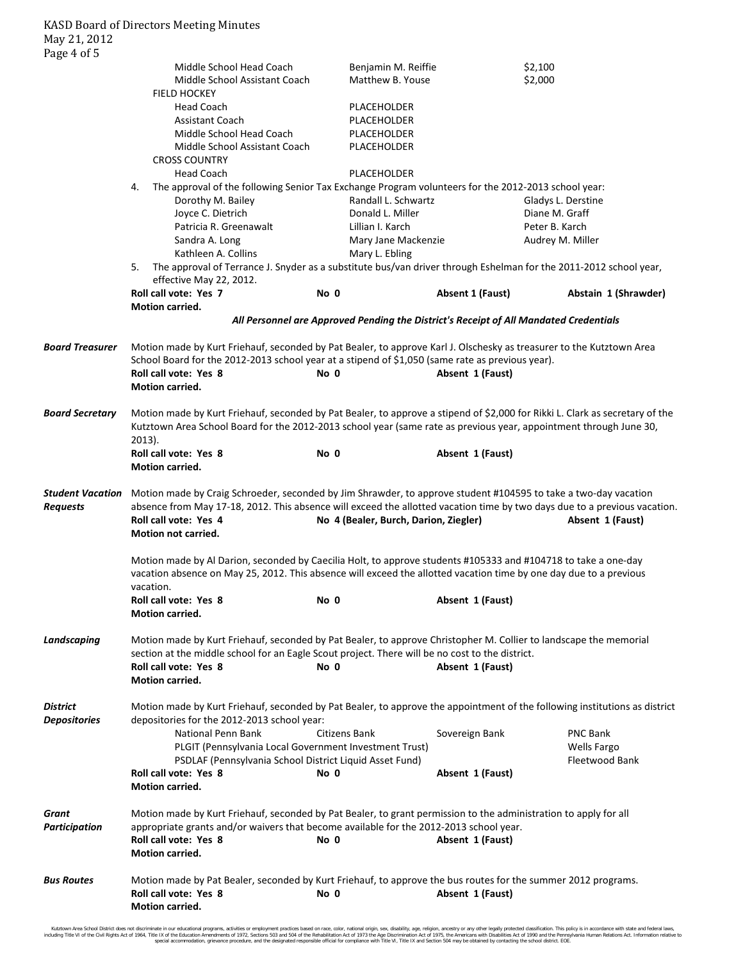| 1 u 5 c 1 o 1 o                            |                                                                                                                                                                                                                                                                                                                                                           |               |                                                                                       |                                                         |  |  |  |  |
|--------------------------------------------|-----------------------------------------------------------------------------------------------------------------------------------------------------------------------------------------------------------------------------------------------------------------------------------------------------------------------------------------------------------|---------------|---------------------------------------------------------------------------------------|---------------------------------------------------------|--|--|--|--|
|                                            | Middle School Head Coach<br>Middle School Assistant Coach                                                                                                                                                                                                                                                                                                 |               | Benjamin M. Reiffie<br>Matthew B. Youse                                               | \$2,100<br>\$2,000                                      |  |  |  |  |
|                                            | <b>FIELD HOCKEY</b>                                                                                                                                                                                                                                                                                                                                       |               |                                                                                       |                                                         |  |  |  |  |
|                                            | <b>Head Coach</b>                                                                                                                                                                                                                                                                                                                                         |               | PLACEHOLDER                                                                           |                                                         |  |  |  |  |
|                                            | <b>Assistant Coach</b>                                                                                                                                                                                                                                                                                                                                    |               | PLACEHOLDER                                                                           |                                                         |  |  |  |  |
|                                            | Middle School Head Coach                                                                                                                                                                                                                                                                                                                                  |               | PLACEHOLDER                                                                           |                                                         |  |  |  |  |
|                                            | Middle School Assistant Coach                                                                                                                                                                                                                                                                                                                             |               | PLACEHOLDER                                                                           |                                                         |  |  |  |  |
|                                            | <b>CROSS COUNTRY</b>                                                                                                                                                                                                                                                                                                                                      |               |                                                                                       |                                                         |  |  |  |  |
|                                            | <b>Head Coach</b>                                                                                                                                                                                                                                                                                                                                         |               | PLACEHOLDER                                                                           |                                                         |  |  |  |  |
|                                            | The approval of the following Senior Tax Exchange Program volunteers for the 2012-2013 school year:<br>4.                                                                                                                                                                                                                                                 |               |                                                                                       |                                                         |  |  |  |  |
|                                            | Dorothy M. Bailey                                                                                                                                                                                                                                                                                                                                         |               | Randall L. Schwartz                                                                   | Gladys L. Derstine                                      |  |  |  |  |
|                                            | Joyce C. Dietrich                                                                                                                                                                                                                                                                                                                                         |               | Donald L. Miller                                                                      | Diane M. Graff                                          |  |  |  |  |
|                                            | Patricia R. Greenawalt                                                                                                                                                                                                                                                                                                                                    |               | Lillian I. Karch                                                                      | Peter B. Karch                                          |  |  |  |  |
|                                            | Sandra A. Long                                                                                                                                                                                                                                                                                                                                            |               | Mary Jane Mackenzie                                                                   | Audrey M. Miller                                        |  |  |  |  |
|                                            | Kathleen A. Collins                                                                                                                                                                                                                                                                                                                                       |               | Mary L. Ebling                                                                        |                                                         |  |  |  |  |
|                                            | The approval of Terrance J. Snyder as a substitute bus/van driver through Eshelman for the 2011-2012 school year,<br>5.                                                                                                                                                                                                                                   |               |                                                                                       |                                                         |  |  |  |  |
|                                            | effective May 22, 2012.                                                                                                                                                                                                                                                                                                                                   |               |                                                                                       |                                                         |  |  |  |  |
|                                            | Roll call vote: Yes 7                                                                                                                                                                                                                                                                                                                                     | No 0          | <b>Absent 1 (Faust)</b>                                                               | Abstain 1 (Shrawder)                                    |  |  |  |  |
|                                            | Motion carried.                                                                                                                                                                                                                                                                                                                                           |               |                                                                                       |                                                         |  |  |  |  |
|                                            |                                                                                                                                                                                                                                                                                                                                                           |               | All Personnel are Approved Pending the District's Receipt of All Mandated Credentials |                                                         |  |  |  |  |
| <b>Board Treasurer</b>                     | Motion made by Kurt Friehauf, seconded by Pat Bealer, to approve Karl J. Olschesky as treasurer to the Kutztown Area<br>School Board for the 2012-2013 school year at a stipend of \$1,050 (same rate as previous year).                                                                                                                                  |               |                                                                                       |                                                         |  |  |  |  |
|                                            | Roll call vote: Yes 8<br>Motion carried.                                                                                                                                                                                                                                                                                                                  | No 0          | Absent 1 (Faust)                                                                      |                                                         |  |  |  |  |
| <b>Board Secretary</b>                     | Motion made by Kurt Friehauf, seconded by Pat Bealer, to approve a stipend of \$2,000 for Rikki L. Clark as secretary of the<br>Kutztown Area School Board for the 2012-2013 school year (same rate as previous year, appointment through June 30,<br>$2013$ ).                                                                                           |               |                                                                                       |                                                         |  |  |  |  |
|                                            | Roll call vote: Yes 8                                                                                                                                                                                                                                                                                                                                     | No 0          | Absent 1 (Faust)                                                                      |                                                         |  |  |  |  |
|                                            | Motion carried.                                                                                                                                                                                                                                                                                                                                           |               |                                                                                       |                                                         |  |  |  |  |
|                                            |                                                                                                                                                                                                                                                                                                                                                           |               |                                                                                       |                                                         |  |  |  |  |
| <b>Student Vacation</b><br><b>Requests</b> | Motion made by Craig Schroeder, seconded by Jim Shrawder, to approve student #104595 to take a two-day vacation<br>absence from May 17-18, 2012. This absence will exceed the allotted vacation time by two days due to a previous vacation.<br>Roll call vote: Yes 4<br>No 4 (Bealer, Burch, Darion, Ziegler)<br>Absent 1 (Faust)<br>Motion not carried. |               |                                                                                       |                                                         |  |  |  |  |
|                                            | Motion made by Al Darion, seconded by Caecilia Holt, to approve students #105333 and #104718 to take a one-day<br>vacation absence on May 25, 2012. This absence will exceed the allotted vacation time by one day due to a previous<br>vacation.                                                                                                         |               |                                                                                       |                                                         |  |  |  |  |
|                                            | Roll call vote: Yes 8<br><b>Motion carried.</b>                                                                                                                                                                                                                                                                                                           | No 0          | Absent 1 (Faust)                                                                      |                                                         |  |  |  |  |
| Landscaping                                | Motion made by Kurt Friehauf, seconded by Pat Bealer, to approve Christopher M. Collier to landscape the memorial<br>section at the middle school for an Eagle Scout project. There will be no cost to the district.<br>Roll call vote: Yes 8<br>No 0<br>Absent 1 (Faust)<br><b>Motion carried.</b>                                                       |               |                                                                                       |                                                         |  |  |  |  |
| <b>District</b><br><b>Depositories</b>     | Motion made by Kurt Friehauf, seconded by Pat Bealer, to approve the appointment of the following institutions as district<br>depositories for the 2012-2013 school year:                                                                                                                                                                                 |               |                                                                                       |                                                         |  |  |  |  |
|                                            | National Penn Bank<br>PLGIT (Pennsylvania Local Government Investment Trust)<br>PSDLAF (Pennsylvania School District Liquid Asset Fund)                                                                                                                                                                                                                   | Citizens Bank | Sovereign Bank                                                                        | <b>PNC Bank</b><br><b>Wells Fargo</b><br>Fleetwood Bank |  |  |  |  |
|                                            | Roll call vote: Yes 8<br>Motion carried.                                                                                                                                                                                                                                                                                                                  | No 0          | Absent 1 (Faust)                                                                      |                                                         |  |  |  |  |
| Grant<br>Participation                     | Motion made by Kurt Friehauf, seconded by Pat Bealer, to grant permission to the administration to apply for all<br>appropriate grants and/or waivers that become available for the 2012-2013 school year.                                                                                                                                                |               |                                                                                       |                                                         |  |  |  |  |
|                                            | Roll call vote: Yes 8<br><b>Motion carried.</b>                                                                                                                                                                                                                                                                                                           | No 0          | Absent 1 (Faust)                                                                      |                                                         |  |  |  |  |
| <b>Bus Routes</b>                          | Motion made by Pat Bealer, seconded by Kurt Friehauf, to approve the bus routes for the summer 2012 programs.<br>Roll call vote: Yes 8<br>Motion carried.                                                                                                                                                                                                 | No 0          | Absent 1 (Faust)                                                                      |                                                         |  |  |  |  |